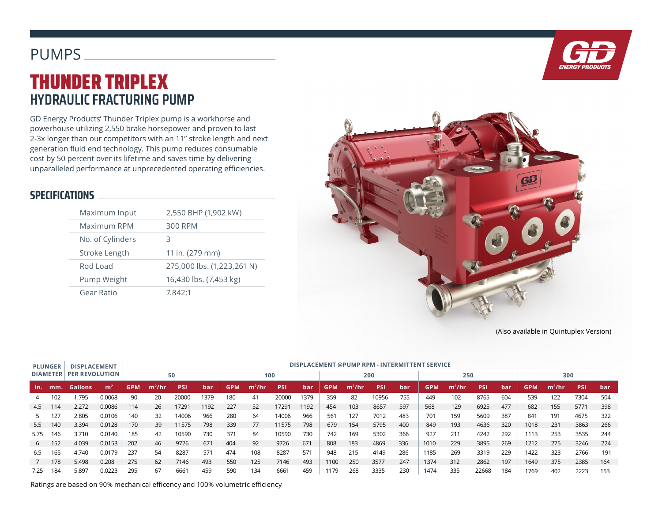## PUMPS



# THUNDER TRIPLEX **HYDRAULIC FRACTURING PUMP**

GD Energy Products' Thunder Triplex pump is a workhorse and powerhouse utilizing 2,550 brake horsepower and proven to last 2-3x longer than our competitors with an 11" stroke length and next generation fluid end technology. This pump reduces consumable cost by 50 percent over its lifetime and saves time by delivering unparalleled performance at unprecedented operating efficiencies.

### **SPECIFICATIONS**

| Maximum Input    | 2,550 BHP (1,902 kW)       |
|------------------|----------------------------|
| Maximum RPM      | 300 RPM                    |
| No. of Cylinders | З                          |
| Stroke Length    | 11 in. (279 mm)            |
| Rod Load         | 275,000 lbs. (1,223,261 N) |
| Pump Weight      | 16,430 lbs. (7,453 kg)     |
| Gear Ratio       | 7.842:1                    |



(Also available in Quintuplex Version)

| <b>PLUNGER</b><br><b>DIAMETER</b> |     | <b>DISPLACEMENT</b><br><b>PER REVOLUTION</b> |                |            | <b>DISPLACEMENT @PUMP RPM - INTERMITTENT SERVICE</b> |            |      |            |          |            |      |            |          |            |            |            |          |            |     |            |          |            |     |
|-----------------------------------|-----|----------------------------------------------|----------------|------------|------------------------------------------------------|------------|------|------------|----------|------------|------|------------|----------|------------|------------|------------|----------|------------|-----|------------|----------|------------|-----|
|                                   |     |                                              |                | 50         |                                                      |            |      | 100        |          |            |      | 200        |          |            |            | 250        |          |            |     | 300        |          |            |     |
| in.                               | mm. | <b>Gallons</b>                               | m <sup>2</sup> | <b>GPM</b> | $m^2/hr$                                             | <b>PSI</b> | bar  | <b>GPM</b> | $m^2/hr$ | <b>PSI</b> | bar  | <b>GPM</b> | $m^2/hr$ | <b>PSI</b> | <b>bar</b> | <b>GPM</b> | $m^2/hr$ | <b>PSI</b> | bar | <b>GPM</b> | $m^2/hr$ | <b>PSI</b> | bar |
|                                   | 102 | 1.795                                        | 0.0068         | 90         | 20                                                   | 20000      | 1379 | 180        | 41       | 20000      | 1379 | 359        | 82       | 10956      | 755        | 449        | 102      | 8765       | 604 | 539        | 122      | 7304       | 504 |
| 4.5                               | 114 | 2.272                                        | 0.0086         | 114        | 26                                                   | 17291      | 1192 | 227        | 52       | 17291      | 1192 | 454        | 103      | 8657       | 597        | 568        | 129      | 6925       | 477 | 682        | 155      | 5771       | 398 |
|                                   | 127 | 2.805                                        | 0.0106         | 140        | 32                                                   | 14006      | 966  | 280        | 64       | 14006      | 966  | 561        | 127      | 7012       | 483        | 701        | 159      | 5609       | 387 | 841        | 191      | 4675       | 322 |
| 5.5                               | 140 | 3.394                                        | 0.0128         | 170        | 39                                                   | 1575       | 798  | 339        | 77       | 11575      | 798  | 679        | 154      | 5795       | 400        | 849        | 193      | 4636       | 320 | 1018       | 231      | 3863       | 266 |
| 5.75                              | 146 | 3.710                                        | 0.0140         | 185        | 42                                                   | 10590      | 730  | 371        | 84       | 10590      | 730  | 742        | 169      | 5302       | 366        | 927        | 211      | 4242       | 292 | 1113       | 253      | 3535       | 244 |
| 6                                 | 152 | 4.039                                        | 0.0153         | 202        | 46                                                   | 9726       | 671  | 404        | 92       | 9726       | 671  | 808        | 183      | 4869       | 336        | 1010       | 229      | 3895       | 269 | 1212       | 275      | 3246       | 224 |
| 6.5                               | 165 | 4.740                                        | 0.0179         | 237        | 54                                                   | 8287       | 571  | 474        | 108      | 8287       | 571  | 948        | 215      | 4149       | 286        | 1185       | 269      | 3319       | 229 | 1422       | 323      | 2766       | 191 |
|                                   | 178 | 5.498                                        | 0.208          | 275        | 62                                                   | 7146       | 493  | 550        | 125      | 7146       | 493  | 1100       | 250      | 3577       | 247        | 1374       | 312      | 2862       | 197 | 1649       | 375      | 2385       | 164 |
| 7.25                              | 184 | 5.897                                        | 0.0223         | 295        | 67                                                   | 6661       | 459  | 590        | 134      | 6661       | 459  | 1179       | 268      | 3335       | 230        | 1474       | 335      | 22668      | 184 | i 769      | 402      | 2223       | 153 |

Ratings are based on 90% mechanical efficency and 100% volumetric efficiency